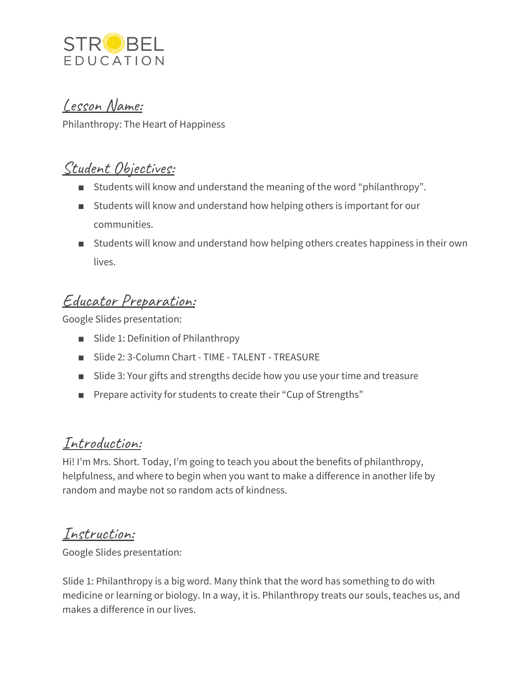

#### Lesson Name:

Philanthropy: The Heart of Happiness

## Student Objectives:

- Students will know and understand the meaning of the word "philanthropy".
- Students will know and understand how helping others is important for our communities.
- Students will know and understand how helping others creates happiness in their own lives.

# Educator Preparation:

Google Slides presentation:

- Slide 1: Definition of Philanthropy
- Slide 2: 3-Column Chart TIME TALENT TREASURE
- Slide 3: Your gifts and strengths decide how you use your time and treasure
- Prepare activity for students to create their "Cup of Strengths"

### Introduction:

Hi! I'm Mrs. Short. Today, I'm going to teach you about the benefits of philanthropy, helpfulness, and where to begin when you want to make a difference in another life by random and maybe not so random acts of kindness.

#### Instruction:

Google Slides presentation:

Slide 1: Philanthropy is a big word. Many think that the word has something to do with medicine or learning or biology. In a way, it is. Philanthropy treats our souls, teaches us, and makes a difference in our lives.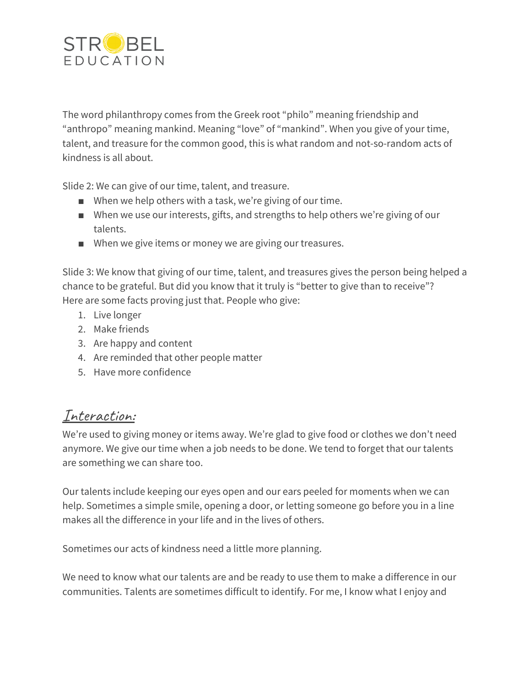

The word philanthropy comes from the Greek root "philo" meaning friendship and "anthropo" meaning mankind. Meaning "love" of "mankind". When you give of your time, talent, and treasure for the common good, this is what random and not-so-random acts of kindness is all about.

Slide 2: We can give of our time, talent, and treasure.

- When we help others with a task, we're giving of our time.
- When we use our interests, gifts, and strengths to help others we're giving of our talents.
- When we give items or money we are giving our treasures.

Slide 3: We know that giving of our time, talent, and treasures gives the person being helped a chance to be grateful. But did you know that it truly is "better to give than to receive"? Here are some facts proving just that. People who give:

- 1. Live longer
- 2. Make friends
- 3. Are happy and content
- 4. Are reminded that other people matter
- 5. Have more confidence

### Interaction:

We're used to giving money or items away. We're glad to give food or clothes we don't need anymore. We give our time when a job needs to be done. We tend to forget that our talents are something we can share too.

Our talents include keeping our eyes open and our ears peeled for moments when we can help. Sometimes a simple smile, opening a door, or letting someone go before you in a line makes all the difference in your life and in the lives of others.

Sometimes our acts of kindness need a little more planning.

We need to know what our talents are and be ready to use them to make a difference in our communities. Talents are sometimes difficult to identify. For me, I know what I enjoy and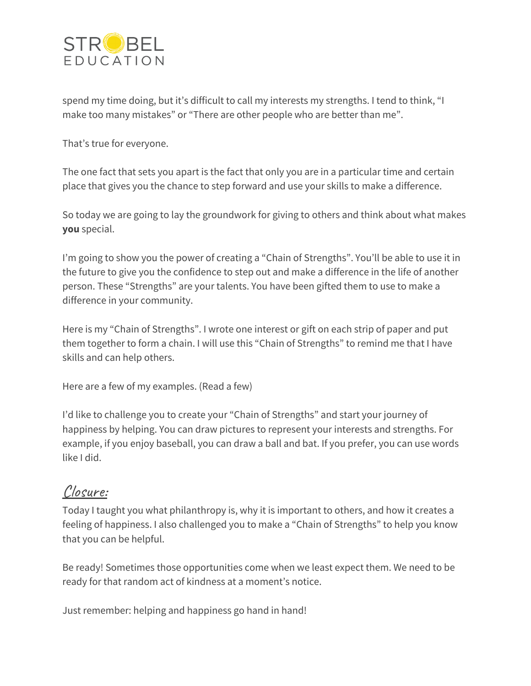

spend my time doing, but it's difficult to call my interests my strengths. I tend to think, "I make too many mistakes" or "There are other people who are better than me".

That's true for everyone.

The one fact that sets you apart is the fact that only you are in a particular time and certain place that gives you the chance to step forward and use your skills to make a difference.

So today we are going to lay the groundwork for giving to others and think about what makes **you** special.

I'm going to show you the power of creating a "Chain of Strengths". You'll be able to use it in the future to give you the confidence to step out and make a difference in the life of another person. These "Strengths" are your talents. You have been gifted them to use to make a difference in your community.

Here is my "Chain of Strengths". I wrote one interest or gift on each strip of paper and put them together to form a chain. I will use this "Chain of Strengths" to remind me that I have skills and can help others.

Here are a few of my examples. (Read a few)

I'd like to challenge you to create your "Chain of Strengths" and start your journey of happiness by helping. You can draw pictures to represent your interests and strengths. For example, if you enjoy baseball, you can draw a ball and bat. If you prefer, you can use words like I did.

#### Closure:

Today I taught you what philanthropy is, why it is important to others, and how it creates a feeling of happiness. I also challenged you to make a "Chain of Strengths" to help you know that you can be helpful.

Be ready! Sometimes those opportunities come when we least expect them. We need to be ready for that random act of kindness at a moment's notice.

Just remember: helping and happiness go hand in hand!